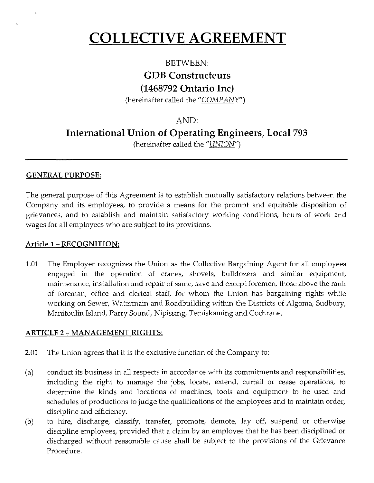# **COLLECTIVE AGREEMENT**

## **BETWEEN: GDB Constructeurs (1468792 Ontario Inc)**

(hereinafter called the "COMPANY")

## AND:

**International Union of Operating Engineers, Local 793** 

(hereinafter called the "UNION")

## **GENERAL PURPOSE:**

The general purpose of this Agreement is to establish mutually satisfactory relations between the Company and its employees, to provide a means for the prompt and equitable disposition of grievances, and to establish and maintain satisfactory working conditions, hours of work and wages for all employees who are subject to its provisions.

## **Article** I - **RECOGNITION:**

1.01 The Employer recognizes the Union as the Collective Bargaining Agent for all employees engaged in the operation of cranes, shovels, bulldozers and similar equipment, maintenance, installation and repair of same, save and except foremen, those above the rank of foreman, office and clerical staff, for whom the Union has bargaining rights while working on Sewer, Watermain and Roadbuilding within the Districts of Algoma, Sudbury, Manitoulin Island, Parry Sound, Nipissing, Temiskaming and Cochrane.

## **ARTICLE** 2 - **MANAGEMENT RIGHTS:**

- 2.01 The Union agrees that it is the exclusive function of the Company to:
- (a) conduct its business in all respects in accordance with its commitments and responsibilities, including the right to manage the jobs, locate, extend, curtail or cease operations, to determine the kinds and locations of machines, tools and equipment to be used and schedules of productions to judge the qualifications of the employees and to maintain order, discipline and efficiency.
- (b) to hire, discharge, classify, transfer, promote, demote, lay off, suspend or otherwise discipline employees, provided that a claim by an employee that he has been disciplined or discharged without reasonable cause shall be subject to the provisions of the Grievance Procedure.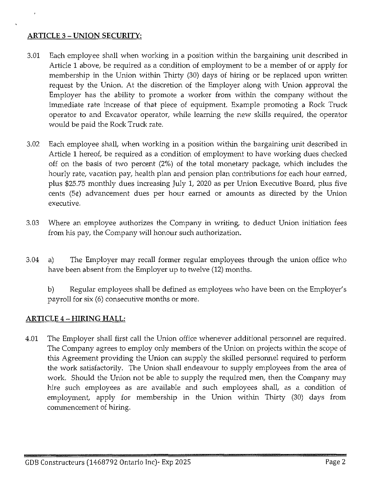## **ARTICLE** 3 - **UNION SECURITY:**

- 3.01 Each employee shall when working in a position within the bargaining unit described in Article 1 above, be required as a condition of employment to be a member of or apply for membership in the Union within Thirty (30) days of hiring or be replaced upon written request by the Union. At the discretion of the Employer along with Union approval the Employer has the ability to promote a worker from within the company without the immediate rate increase of that piece of equipment. Example promoting a Rock Truck operator to and Excavator operator, while learning the new skills required, the operator would be paid the Rock Truck rate.
- 3.02 Each employee shall, when working in a position within the bargaining unit described in Article 1 hereof, be required as a condition of employment to have working dues checked off on the basis of two percent (2%) of the total monetary package, which includes the hourly rate, vacation pay, health plan and pension plan contributions for each hour earned, plus \$25.75 monthly dues increasing July 1, 2020 as per Union Executive Board, plus five cents (5¢) advancement dues per hour earned or amounts as directed by the Union executive.
- 3.03 Where an employee authorizes the Company in writing, to deduct Union initiation fees from his pay, the Company will honour such authorization.
- 3.04 a) The Employer may recall former regular employees through the union office who have been absent from the Employer up to twelve (12) months.

b) Regular employees shall be defined as employees who have been on the Employer's payroll for six (6) consecutive months or more.

## **ARTICLE** 4 - **HIRING HALL:**

4.01 The Employer shall first call the Union office whenever additional personnel are required. The Company agrees to employ only members of the Union on projects within the scope of this Agreement providing the Union can supply the skilled personnel required to perform the work satisfactorily. The Union shall endeavour to supply employees from the area of work. Should the Union not be able to supply the required men, then the Company may hire such employees as are available and such employees shall, as a condition of employment, apply for membership in the Union within Thirty (30) days from commencement of hiring.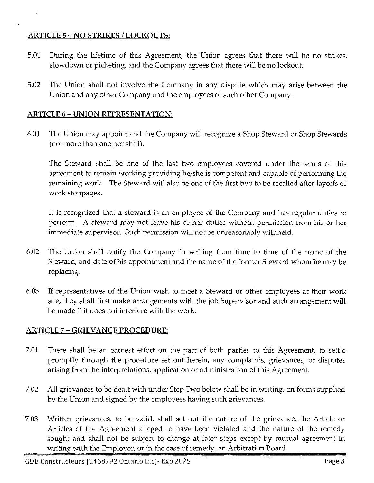## **ARTICLE** 5 - NO **STRIKES I LOCKOUTS:**

- 5.01 During the lifetime of this Agreement, the Union agrees that there will be no strikes, slowdown or picketing, and the Company agrees that there will be no lockout.
- 5.02 The Union shall not involve the Company in any dispute which may arise between the Union and any other Company and the employees of such other Company.

## **ARTICLE 6- UNION REPRESENTATION:**

6.01 The Union may appoint and the Company will recognize a Shop Steward or Shop Stewards (not more than one per shift).

The Steward shall be one of the last two employees covered under the terms of this agreement to remain working providing he/she is competent and capable of performing the remaining work. The Steward will also be one of the first two to be recalled after layoffs or work stoppages.

It is recognized that a steward is an employee of the Company and has regular duties to perform. A steward may not leave his or her duties without permission from his or her immediate supervisor. Such permission will not be unreasonably withheld.

- 6.02 The Union shall notify the Company in writing from time to time of the name of the Steward, and date of his appointment and the name of the former Steward whom he may be replacing.
- 6.03 If representatives of the Union wish to meet a Steward or other employees at their work site, they shall first make arrangements with the job Supervisor and such arrangement will be made if it does not interfere with the work.

## **ARTICLE** 7 - **GRIEVANCE PROCEDURE:**

- 7.01 There shall be an earnest effort on the part of both parties to this Agreement, to settle promptly through the procedure set out herein, any complaints, grievances, or disputes arising from the interpretations, application or administration of this Agreement.
- 7.02 All grievances to be dealt with under Step Two below shall be in writing, on forms supplied by the Union and signed by the employees having such grievances.
- 7.03 Written grievances, to be valid, shall set out the nature of the grievance, the Article or Articles of the Agreement alleged to have been violated and the nature of the remedy sought and shall not be subject to change at later steps except by mutual agreement in writing with the Employer, or in the case of remedy, an Arbitration Board.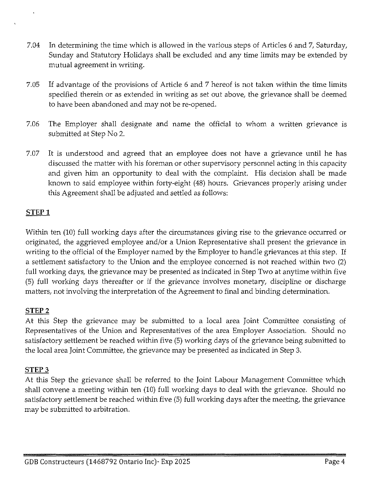- 7.04 In determining the time which is allowed in the various steps of Articles 6 and 7, Saturday, Sunday and Statutory Holidays shall be excluded and any time limits may be extended by mutual agreement in writing.
- 7.05 If advantage of the provisions of Article 6 and 7 hereof is not taken within the time limits specified therein or as extended in writing as set out above, the grievance shall be deemed to have been abandoned and may not be re-opened.
- 7.06 The Employer shall designate and name the official to whom a written grievance is submitted at Step No 2.
- 7.07 It is understood and agreed that an employee does not have a grievance until he has discussed the matter with his foreman or other supervisory personnel acting in this capacity and given him an opportunity to deal with the complaint. His decision shall be made known to said employee within forty-eight (48) hours. Grievances properly arising under this Agreement shall be adjusted and settled as follows:

## **STEPl**

Within ten (10) full working days after the circumstances giving rise to the grievance occurred or originated, the aggrieved employee and/or a Union Representative shall present the grievance in writing to the official of the Employer named by the Employer to handle grievances at this step. If a settlement satisfactory to the Union and the employee concerned is not reached within two (2) full working days, the grievance may be presented as indicated in Step Two at anytime within five (5) full working days thereafter or if the grievance involves monetary, discipline or discharge matters, not involving the interpretation of the Agreement to final and binding determination.

#### **STEP 2**

At this Step the grievance may be submitted to a local area Joint Committee consisting of Representatives of the Union and Representatives of the area Employer Association. Should no satisfactory settlement be reached within five (5) working days of the grievance being submitted to the local area Joint Committee, the grievance may be presented as indicated in Step 3.

#### **STEP3**

At this Step the grievance shall be referred to the Joint Labour Management Committee which shall convene a meeting within ten (10) full working days to deal with the grievance. Should no satisfactory settlement be reached within five (5) full working days after the meeting, the grievance may be submitted to arbitration.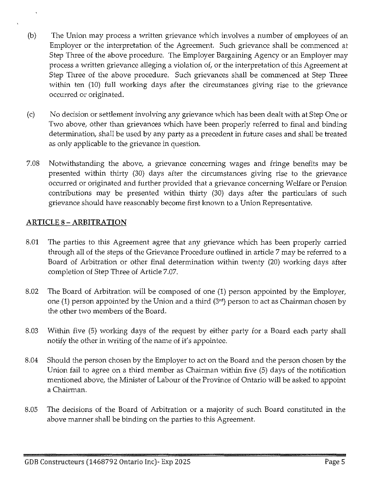- (b) The Union may process a written grievance which involves a number of employees of an Employer or the interpretation of the Agreement. Such grievance shall be commenced at Step Three of the above procedure. The Employer Bargaining Agency or an Employer may process a written grievance alleging a violation of, or the interpretation of this Agreement at Step Three of the above procedure. Such grievances shall be commenced at Step Three within ten (10) full working days after the circumstances giving rise to the grievance occurred or originated.
- (c) No decision or settlement involving any grievance which has been dealt with at Step One or Two above, other than grievances which have been properly referred to final and binding determination, shall be used by any party as a precedent in future cases and shall be treated as only applicable to the grievance in question.
- 7.08 Notwithstanding the above, a grievance concerning wages and fringe benefits may be presented within thirty (30) days after the circumstances giving rise to the grievance occurred or originated and further provided that a grievance concerning Welfare or Pension contributions may be presented within thirty (30) days after the particulars of such grievance should have reasonably become first known to a Union Representative.

## **ARTICLE 8-ARBITRATION**

- 8.01 The parties to this Agreement agree that any grievance which has been properly carried through all of the steps of the Grievance Procedure outlined in article 7 may be referred to a Board of Arbitration or other final determination within twenty (20) working days after completion of Step Three of Article 7.07.
- 8.02 The Board of Arbitration will be composed of one (1) person appointed by the Employer, one (1) person appointed by the Union and a third  $(3^{rd})$  person to act as Chairman chosen by the other two members of the Board.
- 8.03 Within five (5) working days of the request by either party for a Board each party shall notify the other in writing of the name of it's appointee.
- 8.04 Should the person chosen by the Employer to act on the Board and the person chosen by the Union fail to agree on a third member as Chairman within five (5) days of the notification mentioned above, the Minister of Labour of the Province of Ontario will be asked to appoint a Chairman.
- 8.05 The decisions of the Board of Arbitration or a majority of such Board constituted in the above manner shall be binding on the parties to this Agreement.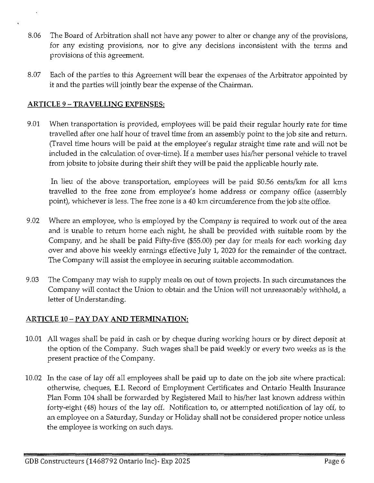- 8.06 The Board of Arbitration shall not have any power to alter or change any of the provisions, for any existing provisions, nor to give any decisions inconsistent with the terms and provisions of this agreement.
- 8.07 Each of the parties to this Agreement will bear the expenses of the Arbitrator appointed by it and the parties will jointly bear the expense of the Chairman.

## **ARTICLE 9 -TRAVELLING EXPENSES:**

9.01 When transportation is provided, employees will be paid their regular hourly rate for time travelled after one half hour of travel time from an assembly point to the job site and return. (Travel time hours will be paid at the employee's regular straight time rate and will not be included in the calculation of over-time). If a member uses his/her personal vehicle to travel from jobsite to jobsite during their shift they will be paid the applicable hourly rate.

In lieu of the above transportation, employees will be paid \$0.56 cents/km for all kms travelled to the free zone from employee's home address or company office (assembly point), whichever is less. The free zone is a 40 km circumference from the job site office.

- 9.02 Where an employee, who is employed by the Company is required to work out of the area and is unable to return home each night, he shall be provided with suitable room by the Company, and he shall be paid Fifty-five (\$55.00) per day for meals for each working day over and above his weekly earnings effective July 1, 2020 for the remainder of the contract. The Company will assist the employee in securing suitable accommodation.
- 9.03 The Company may wish to supply meals on out of town projects. In such circumstances the Company will contact the Union to obtain and the Union will not unreasonably withhold, a letter of Understanding.

## **ARTICLE 10-PAY DAY AND TERMINATION:**

- 10.01 All wages shall be paid in cash or by cheque during working hours or by direct deposit at the option of the Company. Such wages shall be paid weekly or every two weeks as is the present practice of the Company.
- 10.02 In the case of lay off all employees shall be paid up to date on the job site where practical: otherwise, cheques, E.I. Record of Employment Certificates and Ontario Health Insurance Plan Form 104 shall be forwarded by Registered Mail to his/her last known address within forty-eight (48) hours of the lay off. Notification to, or attempted notification of lay off, to an employee on a Saturday, Sunday or Holiday shall not be considered proper notice unless the employee is working on such days.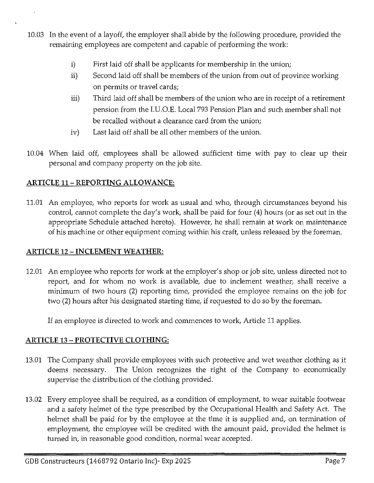- 10.03 In the event of a layoff, the employer shall abide by the following procedure, provided the remaining employees are competent and capable of performing the work:
	- i) First laid off shall be applicants for membership in the union;
	- ii) Second laid off shall be members of the union from out of province working on permits or travel cards;
	- iii) Third laid off shall be members of the union who are in receipt of a retirement pension from the I.U.0.E. Local 793 Pension Plan and such member shall not be recalled without a clearance card from the union;
	- iv) Last laid off shall be all other members of the union.
- 10.04 When laid off, employees shall be allowed sufficient time with pay to clear up their personal and company property on the job site.

## **ARTICLE 11- REPORTING ALLOWANCE:**

11.01 An employee, who reports for work as usual and who, through circumstances beyond his control, cannot complete the day's work, shall be paid for four (4) hours (or as set out in the appropriate Schedule attached hereto). However, he shall remain at work on maintenance of his machine or other equipment coming within his craft, unless released by the foreman.

## **ARTICLE 12- INCLEMENT WEATHER:**

12.01 An employee who reports for work at the employer's shop or job site, unless directed not to report, and for whom no work is available, due to inclement weather, shall receive a minimum of two hours (2) reporting time, provided the employee remains on the job for two (2) hours after his designated starting time, if requested to do so by the foreman.

If an employee is directed to work and commences to work, Article 11 applies.

## **ARTICLE** 13 - **PROTECTIVE CLOTHING:**

- 13.01 The Company shall provide employees with such protective and wet weather clothing as it deems necessary. The Union recognizes the right of the Company to economically supervise the distribution of the clothing provided.
- 13.02 Every employee shall be required, as a condition of employment, to wear suitable footwear and a safety helmet of the type prescribed by the Occupational Health and Safety Act. The helmet shall be paid for by the employee at the time it is supplied and, on termination of employment, the employee will be credited with the amount paid, provided the helmet is turned in, in reasonable good condition, normal wear accepted.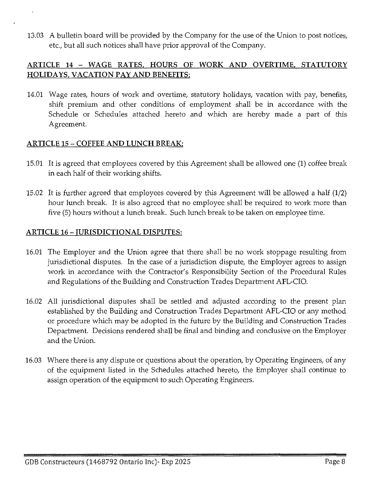13.03 A bulletin board will be provided by the Company for the use of the Union to post notices, etc., but all such notices shall have prior approval of the Company.

## **ARTICLE 14 - WAGE RATES, HOURS OF WORK AND OVERTIME, STATUTORY HOLIDAYS, VACATION PAY AND BENEFITS:**

14.01 Wage rates, hours of work and overtime, statutory holidays, vacation with pay, benefits, shift premium and other conditions of employment shall be in accordance with the Schedule or Schedules attached hereto and which are hereby made a part of this Agreement.

## **ARTICLE 15 - COFFEE AND LUNCH BREAK:**

- 15.01 It is agreed that employees covered by this Agreement shall be allowed one (1) coffee break in each half of their working shifts.
- 15.02 It is further agreed that employees covered by this Agreement will be allowed a half (1/2) hour lunch break. It is also agreed that no employee shall be required to work more than five (5) hours without a lunch break. Such lunch break to be taken on employee time.

#### **ARTICLE 16 - JURISDICTIONAL DISPUTES:**

- 16.01 The Employer and the Union agree that there shall be no work stoppage resulting from jurisdictional disputes. In the case of a jurisdiction dispute, the Employer agrees to assign work in accordance with the Contractor's Responsibility Section of the Procedural Rules and Regulations of the Building and Construction Trades Department AFL-CIO.
- 16.02 All jurisdictional disputes shall be settled and adjusted according to the present plan established by the Building and Construction Trades Department AFL-CIO or any method or procedure which may be adopted in the future by the Building and Construction Trades Department. Decisions rendered shall be final and binding and conclusive on the Employer and the Union.
- 16.03 Where there is any dispute or questions about the operation, by Operating Engineers, of any of the equipment listed in the Schedules attached hereto, the Employer shall continue to assign operation of the equipment to such Operating Engineers.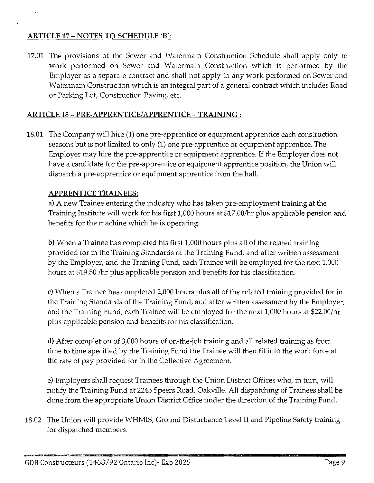## **ARTICLE 17 - NOTES TO SCHEDULE 'B':**

17.01 The provisions of the Sewer and Watermain Construction Schedule shall apply only to work performed on Sewer and Watermain Construction which is performed by the Employer as a separate contract and shall not apply to any work performed on Sewer and Watermain Construction which is an integral part of a general contract which includes Road or Parking Lot, Construction Paving, etc.

### **ARTICLE 18 - PRE-APPRENTICE/APPRENTICE-TRAINING:**

**18.01** The Company will hire (1) one pre-apprentice or equipment apprentice each construction seasons but is not limited to only (1) one pre-apprentice or equipment apprentice. The Employer may hire the pre-apprentice or equipment apprentice. If the Employer does not have a candidate for the pre-apprentice or equipment apprentice position, the Union will dispatch a pre-apprentice or equipment apprentice from the hall.

#### **APPRENTICE TRAINEES:**

**a)** A new Trainee entering the industry who has taken pre-employment training at the Training Institute will work for his first 1,000 hours at \$17.00/hr plus applicable pension and benefits for the machine which he is operating.

**b)** When a Trainee has completed his first 1,000 hours plus all of the related training provided for in the Training Standards of the Training Fund, and after written assessment by the Employer, and the Training Fund, each Trainee will be employed for the next 1,000 hours at \$19.50 /hr plus applicable pension and benefits for his classification.

c) When a Trainee has completed 2,000 hours plus all of the related training provided for in the Training Standards of the Training Fund, and after written assessment by the Employer, and the Training Fund, each Trainee will be employed for the next 1,000 hours at \$22.00/hr plus applicable pension and benefits for his classification.

**d)** After completion of 3,000 hours of on-the-job training and all related training as from time to time specified by the Training Fund the Trainee will then fit into the work force at the rate of pay provided for in the Collective Agreement.

e) Employers shall request Trainees through the Union District Offices who, in turn, will notify the Training Fund at 2245 Speers Road, Oakville. All dispatching of Trainees shall be done from the appropriate Union District Office under the direction of the Training Fund.

18.02 The Union will provide WHMIS, Ground Disturbance Level II and Pipeline Safety training for dispatched members.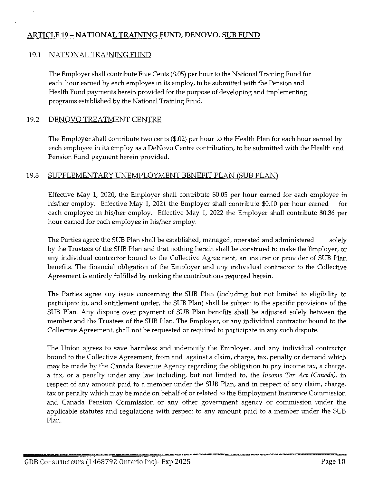## **ARTICLE** 19- **NATIONAL TRAINING FUND, DENOVO, SUB FUND**

#### 19.1 NATIONAL TRAINING FUND

The Employer shall contribute Five Cents (\$.05) per hour to the National Training Fund for each hour earned by each employee in its employ, to be submitted with the Pension and Health Fund payments herein provided for the purpose of developing and implementing programs established by the National Training Fund.

#### 19.2 DENOVO TREATMENT CENTRE

The Employer shall contribute two cents (\$.02) per hour to the Health Plan for each hour earned by each employee in its employ as a DeNovo Centre contribution, to be submitted with the Health and Pension Fund payment herein provided.

#### 19.3 SUPPLEMENTARY UNEMPLOYMENT BENEFIT PLAN (SUB PLAN)

Effective May 1, 2020, the Employer shall contribute \$0.05 per hour earned for each employee in his/her employ. Effective May 1, 2021 the Employer shall contribute \$0.10 per hour earned for each employee in his/her employ. Effective May 1, 2022 the Employer shall contribute \$0.36 per hour earned for each employee in his/her employ.

The Parties agree the SUB Plan shall be established, managed, operated and administered solely by the Trustees of the SUB Plan and that nothing herein shall be construed to make the Employer, or any individual contractor bound to the Collective Agreement, an insurer or provider of SUB Plan benefits. The financial obligation of the Employer and any individual contractor to the Collective Agreement is entirely fulfilled by making the contributions required herein.

The Parties agree any issue concerning the SUB Plan (including but not limited to eligibility to participate in, and entitlement under, the SUB Plan) shall be subject to the specific provisions of the SUB Plan. Any dispute over payment of SUB Plan benefits shall be adjusted solely between the member and the Trustees of the SUB Plan. The Employer, or any individual contractor bound to the Collective Agreement, shall not be requested or required to participate in any such dispute.

The Union agrees to save harmless and indemnify the Employer, and any individual contractor bound to the Collective Agreement, from and against a claim, charge, tax, penalty or demand which may be made by the Canada Revenue Agency regarding the obligation to pay income tax, a charge, a tax, or a penalty under any law including, but not limited to, the *Income Tax Act (Canada)*, in respect of any amount paid to a member under the SUB Plan, and in respect of any claim, charge, tax or penalty which may be made on behalf of or related to the Employment Insurance Commission and Canada Pension Commission or any other government agency or commission under the applicable statutes and regulations with respect to any amount paid to a member under the SUB Plan.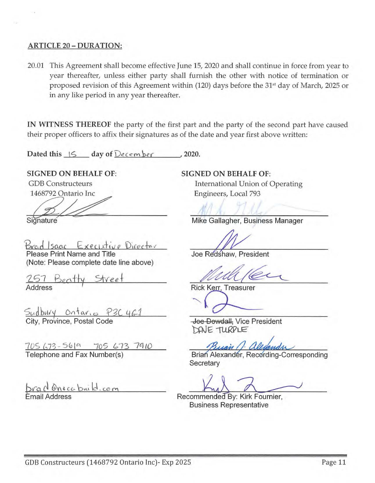#### ARTICLE 20 - DURATION:

20.01 This Agreement shall become effective June 15, 2020 and shall continue in force from year to year thereafter, unless either party shall furnish the other with notice of termination or proposed revision of this Agreement within (120) days before the 31<sup>st</sup> day of March, 2025 or in any like period in any year thereafter.

IN WITNESS THEREOF the party of the first part and the party of the second part have caused their proper officers to affix their signatures as of the date and year first above written:

Dated this  $\frac{1}{5}$  day of December 2020.

SIGNED ON BEHALF OF: GDB Constructeurs SDB Constructeurs<br>1468792 Ontario Inc

**Signature** 

Brad Isaac Executive Director Please Print Name and Title

(Note: Please complete date line above)

1-61 Beo+ty *street*  Address

Sudbury Ontar. 0 P3C 461 City, Province, Postal Code

7US *{,T3* - '5& ~ 705 *l..* 73 7ll */O*  Telephone and Fax Number(s)

brad Onocabrild.com Email Address

SIGNED ON BEHALF OF: International Union of Operating Engineers, Local 793

Mike Gallagher, Business Manager

Joe Redshaw, President

Rick Kerr, Treasurer

Joe Dowdall, Vice President DAVE TURPLE

Buan / al

Brian Alexander, Recording-Corresponding **Secretary** 

Recommended By: Kirk Fournier, Business Representative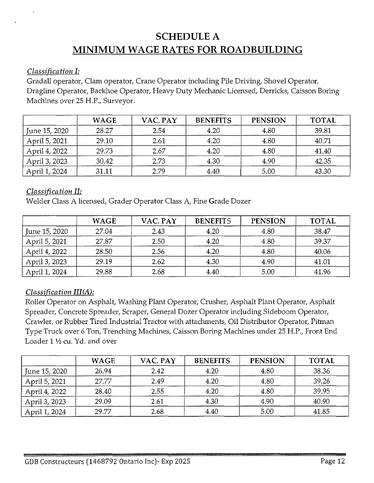## **SCHEDULE A MINIMUM WAGE RATES FOR ROADBUILDING**

## *Classification I:*

Gradall operator, Clam operator, Crane Operator including Pile Driving, Shovel Operator, Dragline Operator, Backhoe Operator, Heavy Duty Mechanic Licensed, Derricks, Caisson Boring Machines over 25 H.P., Surveyor.

|               | <b>WAGE</b> | VAC. PAY | <b>BENEFITS</b> | <b>PENSION</b> | <b>TOTAL</b> |
|---------------|-------------|----------|-----------------|----------------|--------------|
| June 15, 2020 | 28.27       | 2.54     | 4.20            | 4.80           | 39.81        |
| April 5, 2021 | 29.10       | 2.61     | 4.20            | 4.80           | 40.71        |
| April 4, 2022 | 29.73       | 2.67     | 4.20            | 4.80           | 41.40        |
| April 3, 2023 | 30.42       | 2.73     | 4.30            | 4.90           | 42.35        |
| April 1, 2024 | 31.11       | 2.79     | 4.40            | 5.00           | 43.30        |

## *Classification II:*

Welder Class A licensed, Grader Operator Class A, Fine Grade Dozer

|               | <b>WAGE</b> | VAC. PAY | <b>BENEFITS</b> | <b>PENSION</b> | <b>TOTAL</b> |
|---------------|-------------|----------|-----------------|----------------|--------------|
| June 15, 2020 | 27.04       | 2.43     | 4.20            | 4.80           | 38.47        |
| April 5, 2021 | 27.87       | 2.50     | 4.20            | 4.80           | 39.37        |
| April 4, 2022 | 28.50       | 2.56     | 4.20            | 4.80           | 40.06        |
| April 3, 2023 | 29.19       | 2.62     | 4.30            | 4.90           | 41.01        |
| April 1, 2024 | 29.88       | 2.68     | 4.40            | 5.00           | 41.96        |

## *Classification III(A):*

Roller Operator on Asphalt, Washing Plant Operator, Crusher, Asphalt Plant Operator, Asphalt Spreader, Concrete Spreader, Scraper, General Dozer Operator including Sideboom Operator, Crawler, or Rubber Tired Industrial Tractor with attachments, Oil Distributor Operator, Pitman Type Truck over 6 Ton, Trenching Machines, Caisson Boring Machines under 25 H.P., Front End Loader 1 1/2 cu. Yd. and over

|               | <b>WAGE</b> | VAC. PAY | <b>BENEFITS</b> | <b>PENSION</b> | <b>TOTAL</b> |
|---------------|-------------|----------|-----------------|----------------|--------------|
| June 15, 2020 | 26.94       | 2.42     | 4.20            | 4.80           | 38.36        |
| April 5, 2021 | 27.77       | 2.49     | 4.20            | 4.80           | 39.26        |
| April 4, 2022 | 28.40       | 2.55     | 4.20            | 4.80           | 39.95        |
| April 3, 2023 | 29.09       | 2.61     | 4.30            | 4.90           | 40.90        |
| April 1, 2024 | 29.77       | 2.68     | 4.40            | 5.00           | 41.85        |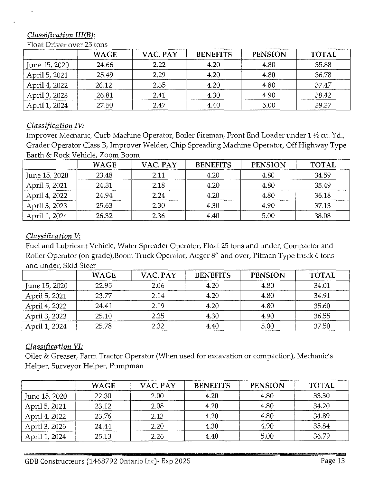## *Classification III(B):*

|               | <b>WAGE</b> | VAC. PAY | <b>BENEFITS</b> | <b>PENSION</b> | <b>TOTAL</b> |
|---------------|-------------|----------|-----------------|----------------|--------------|
| June 15, 2020 | 24.66       | 2.22     | 4.20            | 4.80           | 35.88        |
| April 5, 2021 | 25.49       | 2.29     | 4.20            | 4.80           | 36.78        |
| April 4, 2022 | 26.12       | 2.35     | 4.20            | 4.80           | 37.47        |
| April 3, 2023 | 26.81       | 2.41     | 4.30            | 4.90           | 38.42        |
| April 1, 2024 | 27.50       | 2.47     | 4.40            | 5.00           | 39.37        |

#### Float Driver over 25 tons

## *Classification IV:*

Improver Mechanic, Curb Machine Operator, Boiler Fireman, Front End Loader under 1 ½ cu. Yd., Grader Operator Class B, Improver Welder, Chip Spreading Machine Operator, Off Highway Type Earth & Rock Vehicle, Zoom Boom

|               | <b>WAGE</b> | VAC. PAY | <b>BENEFITS</b> | <b>PENSION</b> | <b>TOTAL</b> |
|---------------|-------------|----------|-----------------|----------------|--------------|
| June 15, 2020 | 23.48       | 2.11     | 4.20            | 4.80           | 34.59        |
| April 5, 2021 | 24.31       | 2.18     | 4.20            | 4.80           | 35.49        |
| April 4, 2022 | 24.94       | 2.24     | 4.20            | 4.80           | 36.18        |
| April 3, 2023 | 25.63       | 2.30     | 4.30            | 4.90           | 37.13        |
| April 1, 2024 | 26.32       | 2.36     | 4.40            | 5.00           | 38.08        |

## *Classification V:*

Fuel and Lubricant Vehicle, Water Spreader Operator, Float 25 tons and under, Compactor and Roller Operator (on grade),Boom Truck Operator, Auger 8" and over, Pitman Type truck 6 tons and under, Skid Steer

|               | <b>WAGE</b> | VAC. PAY | <b>BENEFITS</b> | <b>PENSION</b> | <b>TOTAL</b> |
|---------------|-------------|----------|-----------------|----------------|--------------|
| June 15, 2020 | 22.95       | 2.06     | 4.20            | 4.80           | 34.01        |
| April 5, 2021 | 23.77       | 2.14     | 4.20            | 4.80           | 34.91        |
| April 4, 2022 | 24.41       | 2.19     | 4.20            | 4.80           | 35.60        |
| April 3, 2023 | 25.10       | 2.25     | 4.30            | 4.90           | 36.55        |
| April 1, 2024 | 25.78       | 2.32     | 4.40            | 5.00           | 37.50        |

## *Classification VI:*

Oiler & Greaser, Farm Tractor Operator (When used for excavation or compaction), Mechanic's Helper, Surveyor Helper, Pumpman

|               | <b>WAGE</b> | VAC. PAY | <b>BENEFITS</b> | <b>PENSION</b> | <b>TOTAL</b> |
|---------------|-------------|----------|-----------------|----------------|--------------|
| June 15, 2020 | 22.30       | 2.00     | 4.20            | 4.80           | 33.30        |
| April 5, 2021 | 23.12       | 2.08     | 4.20            | 4.80           | 34.20        |
| April 4, 2022 | 23.76       | 2.13     | 4.20            | 4.80           | 34.89        |
| April 3, 2023 | 24.44       | 2.20     | 4.30            | 4.90           | 35.84        |
| April 1, 2024 | 25.13       | 2.26     | 4.40            | 5.00           | 36.79        |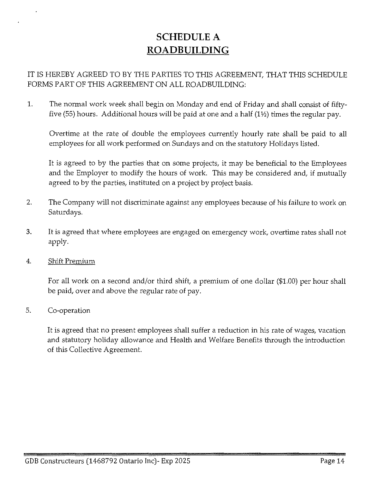## **SCHEDULE** A **ROADBUILDING**

IT IS HEREBY AGREED TO BY THE PARTIES TO THIS AGREEMENT, THAT THIS SCHEDULE FORMS PART OF THIS AGREEMENT ON ALL ROADBUILDING:

1. The normal work week shall begin on Monday and end of Friday and shall consist of fiftyfive (55) hours. Additional hours will be paid at one and a half (1 $\frac{1}{2}$ ) times the regular pay.

Overtime at the rate of double the employees currently hourly rate shall be paid to all employees for all work performed on Sundays and on the statutory Holidays listed.

It is agreed to by the parties that on some projects, it may be beneficial to the Employees and the Employer to modify the hours of work. This may be considered and, if mutually agreed to by the parties, instituted on a project by project basis.

- 2. The Company will not discriminate against any employees because of his failure to work on Saturdays.
- 3. It is agreed that where employees are engaged on emergency work, overtime rates shall not apply.
- 4. Shift Premium

For all work on a second and/or third shift, a premium of one dollar (\$1.00) per hour shall be paid, over and above the regular rate of pay.

5. Co-operation

It is agreed that no present employees shall suffer a reduction in his rate of wages, vacation and statutory holiday allowance and Health and Welfare Benefits through the introduction of this Collective Agreement.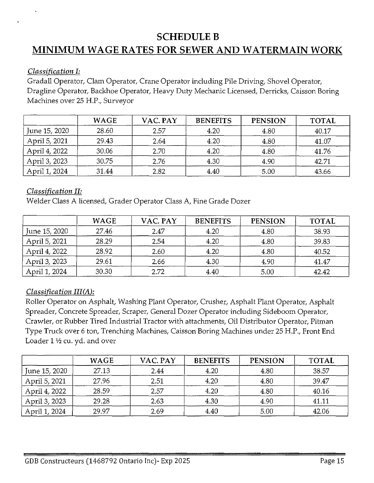## **SCHEDULEB**

## **MINIMUM WAGE RATES FOR SEWER AND WATERMAIN WORK**

## *Classification I:*

Gradall Operator, Clam Operator, Crane Operator including Pile Driving, Shovel Operator, Dragline Operator, Backhoe Operator, Heavy Duty Mechanic Licensed, Derricks, Caisson Boring Machines over 25 H.P., Surveyor

|               | <b>WAGE</b> | VAC. PAY | <b>BENEFITS</b> | <b>PENSION</b> | <b>TOTAL</b> |
|---------------|-------------|----------|-----------------|----------------|--------------|
| June 15, 2020 | 28.60       | 2.57     | 4.20            | 4.80           | 40.17        |
| April 5, 2021 | 29.43       | 2.64     | 4.20            | 4.80           | 41.07        |
| April 4, 2022 | 30.06       | 2.70     | 4.20            | 4.80           | 41.76        |
| April 3, 2023 | 30.75       | 2.76     | 4.30            | 4.90           | 42.71        |
| April 1, 2024 | 31.44       | 2.82     | 4.40            | 5.00           | 43.66        |

## *Classification II:*

Welder Class A licensed, Grader Operator Class A, Fine Grade Dozer

|               | <b>WAGE</b> | VAC. PAY | <b>BENEFITS</b> | <b>PENSION</b> | <b>TOTAL</b> |
|---------------|-------------|----------|-----------------|----------------|--------------|
| June 15, 2020 | 27.46       | 2.47     | 4.20            | 4.80           | 38.93        |
| April 5, 2021 | 28.29       | 2.54     | 4.20            | 4.80           | 39.83        |
| April 4, 2022 | 28.92       | 2.60     | 4.20            | 4.80           | 40.52        |
| April 3, 2023 | 29.61       | 2.66     | 4.30            | 4.90           | 41.47        |
| April 1, 2024 | 30.30       | 2.72     | 4.40            | 5.00           | 42.42        |

## *Classification III(A):*

Roller Operator on Asphalt, Washing Plant Operator, Crusher, Asphalt Plant Operator, Asphalt Spreader, Concrete Spreader, Scraper, General Dozer Operator including Sideboom Operator, Crawler, or Rubber Tired Industrial Tractor with attachments, Oil Distributor Operator, Pitman Type Truck over 6 ton, Trenching Machines, Caisson Boring Machines under 25 H.P., Front End Loader  $1 \frac{1}{2}$  cu. yd. and over

|               | <b>WAGE</b> | VAC. PAY | <b>BENEFITS</b> | <b>PENSION</b> | <b>TOTAL</b> |
|---------------|-------------|----------|-----------------|----------------|--------------|
| June 15, 2020 | 27.13       | 2.44     | 4.20            | 4.80           | 38.57        |
| April 5, 2021 | 27.96       | 2.51     | 4.20            | 4.80           | 39.47        |
| April 4, 2022 | 28.59       | 2.57     | 4.20            | 4.80           | 40.16        |
| April 3, 2023 | 29.28       | 2.63     | 4.30            | 4.90           | 41.11        |
| April 1, 2024 | 29.97       | 2.69     | 4.40            | 5.00           | 42.06        |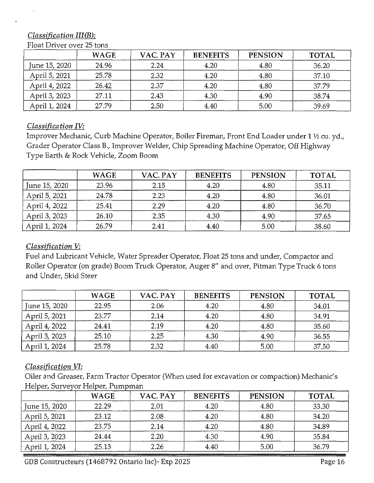## *Classification III(B):*

|               | <b>WAGE</b> | VAC. PAY | <b>BENEFITS</b> | <b>PENSION</b> | <b>TOTAL</b> |
|---------------|-------------|----------|-----------------|----------------|--------------|
| June 15, 2020 | 24.96       | 2.24     | 4.20            | 4.80           | 36.20        |
| April 5, 2021 | 25.78       | 2.32     | 4.20            | 4.80           | 37.10        |
| April 4, 2022 | 26.42       | 2.37     | 4.20            | 4.80           | 37.79        |
| April 3, 2023 | 27.11       | 2.43     | 4.30            | 4.90           | 38.74        |
| April 1, 2024 | 27.79       | 2.50     | 4.40            | 5.00           | 39.69        |

#### Float Driver over 25 tons

## *Classification IV:*

Improver Mechanic, Curb Machine Operator, Boiler Fireman, Front End Loader under 1 ½ cu. yd., Grader Operator Class B., Improver Welder, Chip Spreading Machine Operator, Off Highway Type Earth & Rock Vehicle, Zoom Boom

|               | <b>WAGE</b> | VAC. PAY | <b>BENEFITS</b> | <b>PENSION</b> | <b>TOTAL</b> |
|---------------|-------------|----------|-----------------|----------------|--------------|
| June 15, 2020 | 23.96       | 2.15     | 4.20            | 4.80           | 35.11        |
| April 5, 2021 | 24.78       | 2.23     | 4.20            | 4.80           | 36.01        |
| April 4, 2022 | 25.41       | 2.29     | 4.20            | 4.80           | 36.70        |
| April 3, 2023 | 26.10       | 2.35     | 4.30            | 4.90           | 37.65        |
| April 1, 2024 | 26.79       | 2.41     | 4.40            | 5.00           | 38.60        |

#### *Classification V:*

Fuel and Lubricant Vehicle, Water Spreader Operator, Float 25 tons and under, Compactor and Roller Operator (on grade) Boom Truck Operator, Auger 8" and over, Pitman Type Truck 6 tons and Under, Skid Steer

|               | <b>WAGE</b> | VAC. PAY | <b>BENEFITS</b> | <b>PENSION</b> | <b>TOTAL</b> |
|---------------|-------------|----------|-----------------|----------------|--------------|
| June 15, 2020 | 22.95       | 2.06     | 4.20            | 4.80           | 34.01        |
| April 5, 2021 | 23.77       | 2.14     | 4.20            | 4.80           | 34.91        |
| April 4, 2022 | 24.41       | 2.19     | 4.20            | 4.80           | 35.60        |
| April 3, 2023 | 25.10       | 2.25     | 4.30            | 4.90           | 36.55        |
| April 1, 2024 | 25.78       | 2.32     | 4.40            | 5.00           | 37.50        |

## *Classification VI:*

Oiler and Greaser, Farm Tractor Operator (When used for excavation or compaction) Mechanic's Helper, Surveyor Helper, Pumpman

|               | <b>WAGE</b> | VAC. PAY | <b>BENEFITS</b> | <b>PENSION</b> | <b>TOTAL</b> |
|---------------|-------------|----------|-----------------|----------------|--------------|
| June 15, 2020 | 22.29       | 2.01     | 4.20            | 4.80           | 33.30        |
| April 5, 2021 | 23.12       | 2.08     | 4.20            | 4.80           | 34.20        |
| April 4, 2022 | 23.75       | 2.14     | 4.20            | 4.80           | 34.89        |
| April 3, 2023 | 24.44       | 2.20     | 4.30            | 4.90           | 35.84        |
| April 1, 2024 | 25.13       | 2.26     | 4.40            | 5.00           | 36.79        |

GDB Constructeurs (1468792 Ontario Inc)- Exp 2025 CODB Constructeurs Page 16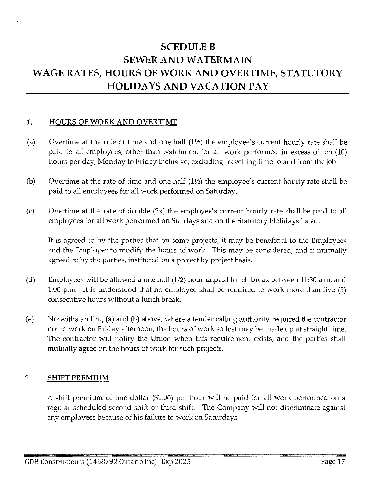## **SCEDULE B SEWER AND WATERMAIN WAGE RATES, HOURS OF WORK AND OVERTIME, STATUTORY HOLIDAYS AND VACATION PAY**

#### **1. HOURS OF WORK AND OVERTIME**

- (a) Overtime at the rate of time and one half  $(1<sup>1</sup>)$  the employee's current hourly rate shall be paid to all employees, other than watchmen, for all work performed in excess of ten (10) hours per day, Monday to Friday inclusive, excluding travelling time to and from the job.
- (b) Overtime at the rate of time and one half  $(1\frac{1}{2})$  the employee's current hourly rate shall be paid to all employees for all work performed on Saturday.
- (c) Overtime at the rate of double (2x) the employee's current hourly rate shall be paid to all employees for all work performed on Sundays and on the Statutory Holidays listed.

It is agreed to by the parties that on some projects, it may be beneficial to the Employees and the Employer to modify the hours of work. This may be considered, and if mutually agreed to by the parties, instituted on a project by project basis.

- (d) Employees will be allowed a one half (1/2) hour unpaid lunch break between 11:30 a.m. and 1:00 p.m. It is understood that no employee shall be required to work more than five (5) consecutive hours without a lunch break.
- (e) Notwithstanding (a) and (b) above, where a tender calling authority required the contractor not to work on Friday afternoon, the hours of work so lost may be made up at straight time. The contractor will notify the Union when this requirement exists, and the parties shall mutually agree on the hours of work for such projects.

#### 2. **SHIFT PREMIUM**

A shift premium of one dollar (\$1.00) per hour will be paid for all work performed on a regular scheduled second shift or third shift. The Company will not discriminate against any employees because of his failure to work on Saturdays.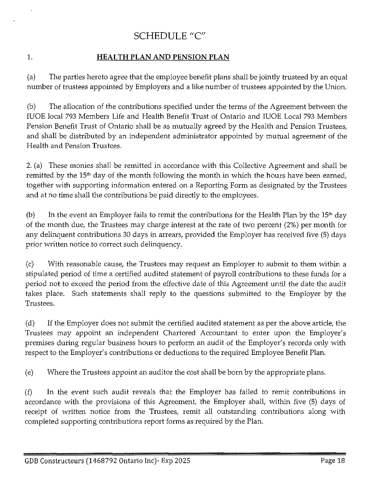## SCHEDULE "C"

## 1. **HEALTH PLAN AND PENSION PLAN**

(a) The parties hereto agree that the employee benefit plans shall be jointly trusteed by an equal number of trustees appointed by Employers and a like number of trustees appointed by the Union.

(b) The allocation of the contributions specified under the terms of the Agreement between the IUOE local 793 Members Life and Health Benefit Trust of Ontario and IUOE Local 793 Members Pension Benefit Trust of Ontario shall be as mutually agreed by the Health and Pension Trustees, and shall be distributed by an independent administrator appointed by mutual agreement of the Health and Pension Trustees.

2. (a) These monies shall be remitted in accordance with this Collective Agreement and shall be remitted by the 15<sup>th</sup> day of the month following the month in which the hours have been earned, together with supporting information entered on a Reporting Form as designated by the Trustees and at no time shall the contributions be paid directly to the employees.

(b) In the event an Employer fails to remit the contributions for the Health Plan by the  $15<sup>th</sup>$  day of the month due, the Trustees may charge interest at the rate of two percent (2%) per month for any delinquent contributions 30 days in arrears, provided the Employer has received five (5) days prior written notice to correct such delinquency.

(c) With reasonable cause, the Trustees may request an Employer to submit to them within a stipulated period of time a certified audited statement of payroll contributions to these funds for a period not to exceed the period from the effective date of this Agreement until the date the audit takes place. Such statements shall reply to the questions submitted to the Employer by the Trustees.

(d) If the Employer does not submit the certified audited statement as per the above article, the Trustees may appoint an independent Chartered Accountant to enter upon the Employer's premises during regular business hours to perform an audit of the Employer's records only with respect to the Employer's contributions or deductions to the required Employee Benefit Plan.

(e) Where the Trustees appoint an auditor the cost shall be born by the appropriate plans.

(f) In the event such audit reveals that the Employer has failed to remit contributions in accordance with the provisions of this Agreement, the Employer shall, within five (5) days of receipt of written notice from the Trustees, remit all outstanding contributions along with completed supporting contributions report forms as required by the Plan.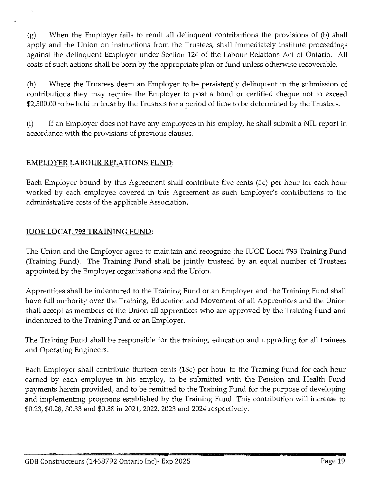(g) When the Employer fails to remit all delinquent contributions the provisions of (b) shall apply and the Union on instructions from the Trustees, shall immediately institute proceedings against the delinquent Employer under Section 124 of the Labour Relations Act of Ontario. All costs of such actions shall be born by the appropriate plan or fund unless otherwise recoverable.

(h) Where the Trustees deem an Employer to be persistently delinquent in the submission of contributions they may require the Employer to post a bond or certified cheque not to exceed \$2,500.00 to be held in trust by the Trustees for a period of time to be determined by the Trustees.

(i) If an Employer does not have any employees in his employ, he shall submit a NIL report in accordance with the provisions of previous clauses.

## **EMPLOYER LABOUR RELATIONS FUND:**

Each Employer bound by this Agreement shall contribute five cents (5¢) per hour for each hour worked by each employee covered in this Agreement as such Employer's contributions to the administrative costs of the applicable Association.

## **IUOE LOCAL** 793 **TRAINING FUND:**

The Union and the Employer agree to maintain and recognize the IUOE Local 793 Training Fund (Training Fund). The Training Fund shall be jointly trusteed by an equal number of Trustees appointed by the Employer organizations and the Union.

Apprentices shall be indentured to the Training Fund or an Employer and the Training Fund shall have full authority over the Training, Education and Movement of all Apprentices and the Union shall accept as members of the Union all apprentices who are approved by the Training Fund and indentured to the Training Fund or an Employer.

The Training Fund shall be responsible for the training, education and upgrading for all trainees and Operating Engineers.

Each Employer shall contribute thirteen cents (18¢) per hour to the Training Fund for each hour earned by each employee in his employ, to be submitted with the Pension and Health Fund payments herein provided, and to be remitted to the Training Fund for the purpose of developing and implementing programs established by the Training Fund. This contribution will increase to \$0.23, \$0.28, \$0.33 and \$0.38 in 2021, 2022, 2023 and 2024 respectively.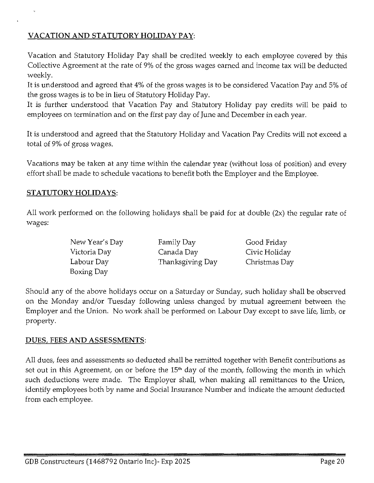## **VACATION AND STATUTORY HOLIDAY PAY:**

Vacation and Statutory Holiday Pay shall be credited weekly to each employee covered by this Collective Agreement at the rate of 9% of the gross wages earned and income tax will be deducted weekly.

It is understood and agreed that 4% of the gross wages is to be considered Vacation Pay and 5% of the gross wages is to be in lieu of Statutory Holiday Pay.

It is further understood that Vacation Pay and Statutory Holiday pay credits will be paid to employees on termination and on the first pay day of June and December in each year.

It is understood and agreed that the Statutory Holiday and Vacation Pay Credits will not exceed a total of 9% of gross wages.

Vacations may be taken at any time within the calendar year (without loss of position) and every effort shall be made to schedule vacations to benefit both the Employer and the Employee.

## **STATUTORY HOLIDAYS:**

All work performed on the following holidays shall be paid for at double (2x) the regular rate of wages:

| New Year's Day | Family Day       | Good Friday   |
|----------------|------------------|---------------|
| Victoria Day   | Canada Day       | Civic Holiday |
| Labour Day     | Thanksgiving Day | Christmas Day |
| Boxing Day     |                  |               |

Should any of the above holidays occur on a Saturday or Sunday, such holiday shall be observed on the Monday and/or Tuesday following unless changed by mutual agreement between the Employer and the Union. No work shall be performed on Labour Day except to save life, limb, or property.

#### **DUES, FEES AND ASSESSMENTS:**

All dues, fees and assessments so deducted shall be remitted together with Benefit contributions as set out in this Agreement, on or before the  $15<sup>th</sup>$  day of the month, following the month in which such deductions were made. The Employer shall, when making all remittances to the Union, identify employees both by name and Social Insurance Number and indicate the amount deducted from each employee.